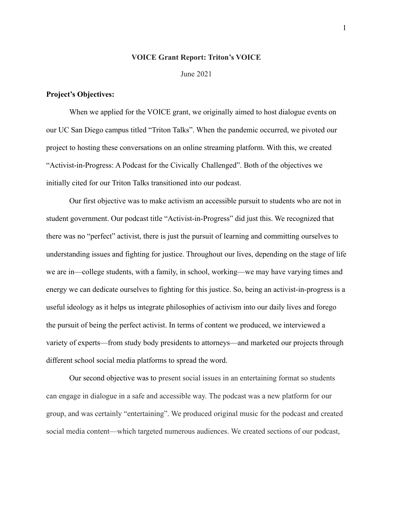#### **VOICE Grant Report: Triton's VOICE**

June 2021

#### **Project's Objectives:**

When we applied for the VOICE grant, we originally aimed to host dialogue events on our UC San Diego campus titled "Triton Talks". When the pandemic occurred, we pivoted our project to hosting these conversations on an online streaming platform. With this, we created "Activist-in-Progress: A Podcast for the Civically Challenged". Both of the objectives we initially cited for our Triton Talks transitioned into our podcast.

Our first objective was to make activism an accessible pursuit to students who are not in student government. Our podcast title "Activist-in-Progress" did just this. We recognized that there was no "perfect" activist, there is just the pursuit of learning and committing ourselves to understanding issues and fighting for justice. Throughout our lives, depending on the stage of life we are in—college students, with a family, in school, working—we may have varying times and energy we can dedicate ourselves to fighting for this justice. So, being an activist-in-progress is a useful ideology as it helps us integrate philosophies of activism into our daily lives and forego the pursuit of being the perfect activist. In terms of content we produced, we interviewed a variety of experts—from study body presidents to attorneys—and marketed our projects through different school social media platforms to spread the word.

Our second objective was to present social issues in an entertaining format so students can engage in dialogue in a safe and accessible way. The podcast was a new platform for our group, and was certainly "entertaining". We produced original music for the podcast and created social media content—which targeted numerous audiences. We created sections of our podcast,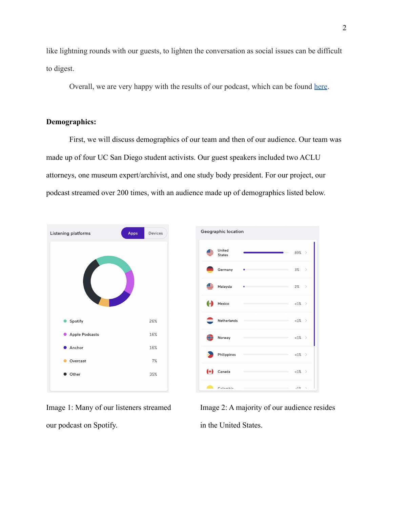like lightning rounds with our guests, to lighten the conversation as social issues can be difficult to digest.

Overall, we are very happy with the results of our podcast, which can be found [here](https://anchor.fm/activistinprogress).

## **Demographics:**

First, we will discuss demographics of our team and then of our audience. Our team was made up of four UC San Diego student activists. Our guest speakers included two ACLU attorneys, one museum expert/archivist, and one study body president. For our project, our podcast streamed over 200 times, with an audience made up of demographics listed below.



our podcast on Spotify. in the United States.

Image 1: Many of our listeners streamed Image 2: A majority of our audience resides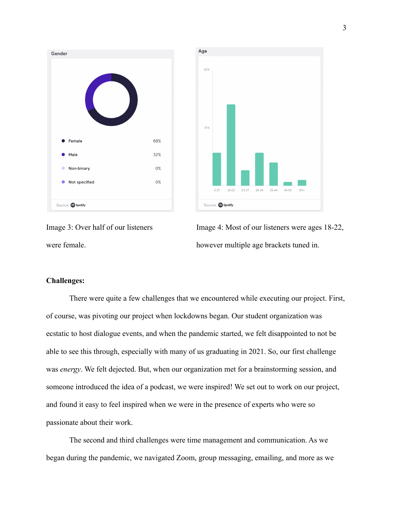



Image 3: Over half of our listeners Image 4: Most of our listeners were ages 18-22, were female. however multiple age brackets tuned in.

### **Challenges:**

There were quite a few challenges that we encountered while executing our project. First, of course, was pivoting our project when lockdowns began. Our student organization was ecstatic to host dialogue events, and when the pandemic started, we felt disappointed to not be able to see this through, especially with many of us graduating in 2021. So, our first challenge was *energy*. We felt dejected. But, when our organization met for a brainstorming session, and someone introduced the idea of a podcast, we were inspired! We set out to work on our project, and found it easy to feel inspired when we were in the presence of experts who were so passionate about their work.

The second and third challenges were time management and communication. As we began during the pandemic, we navigated Zoom, group messaging, emailing, and more as we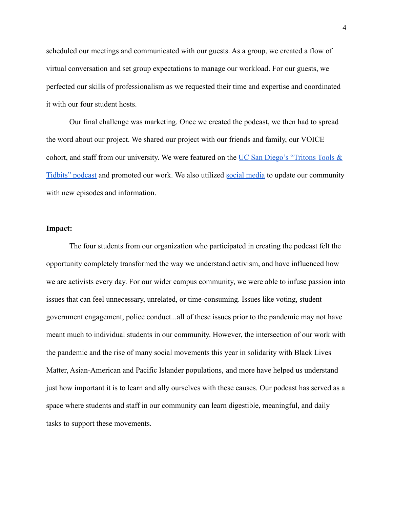scheduled our meetings and communicated with our guests. As a group, we created a flow of virtual conversation and set group expectations to manage our workload. For our guests, we perfected our skills of professionalism as we requested their time and expertise and coordinated it with our four student hosts.

Our final challenge was marketing. Once we created the podcast, we then had to spread the word about our project. We shared our project with our friends and family, our VOICE cohort, and staff from our university. We were featured on the UC San Diego's "Tritons Tools  $\&$ [Tidbits" podcast](https://shows.acast.com/triton-tools-tidbits/episodes/lobbying-101-how-to-network-for-a-cause) and promoted our work. We also utilized [social media](https://www.instagram.com/activistinprogress/) to update our community with new episodes and information.

#### **Impact:**

The four students from our organization who participated in creating the podcast felt the opportunity completely transformed the way we understand activism, and have influenced how we are activists every day. For our wider campus community, we were able to infuse passion into issues that can feel unnecessary, unrelated, or time-consuming. Issues like voting, student government engagement, police conduct...all of these issues prior to the pandemic may not have meant much to individual students in our community. However, the intersection of our work with the pandemic and the rise of many social movements this year in solidarity with Black Lives Matter, Asian-American and Pacific Islander populations, and more have helped us understand just how important it is to learn and ally ourselves with these causes. Our podcast has served as a space where students and staff in our community can learn digestible, meaningful, and daily tasks to support these movements.